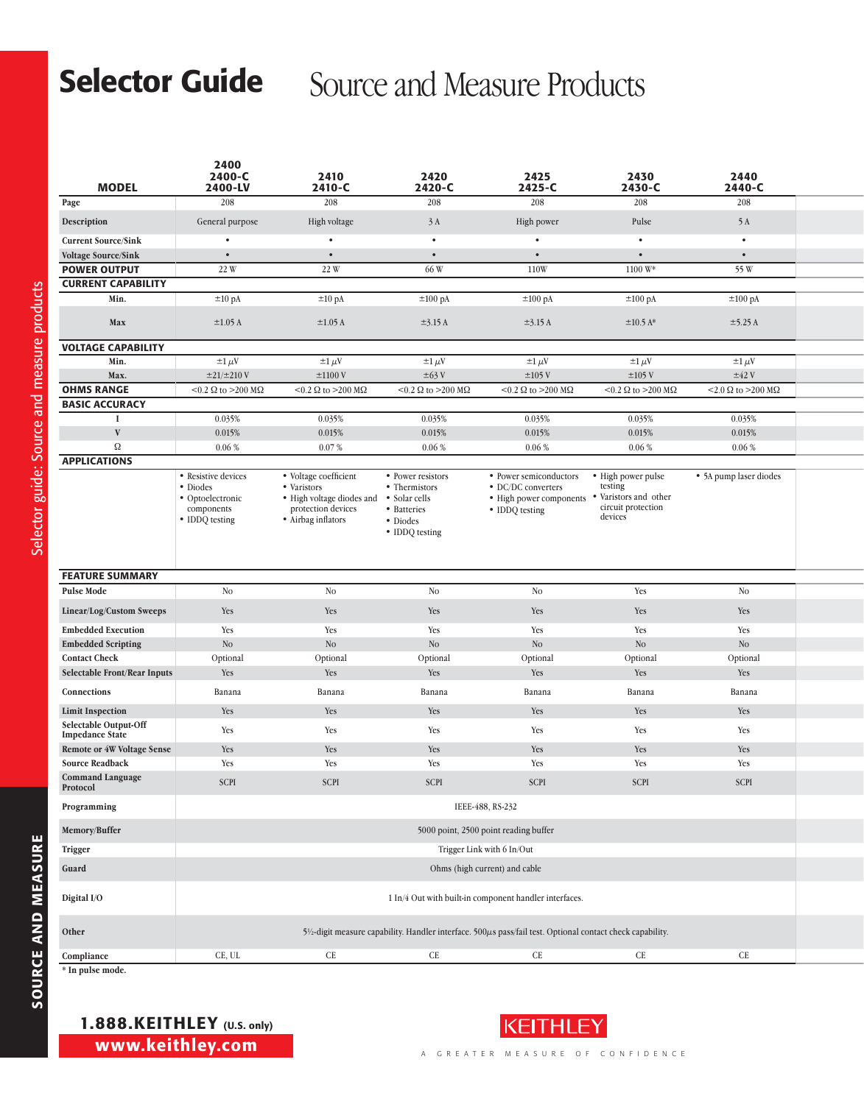## Selector Guide Source and Measure Products

| <b>MODEL</b>                                                                                                          | 2400<br>2400-C<br>2400-LV                                                           | 2410<br>2410-C                                                                                                | 2420<br>2420-C                                                                                   | 2425<br>2425-C                                                                                                    | 2430<br>2430-C                                                 | 2440<br>2440-C                         |  |
|-----------------------------------------------------------------------------------------------------------------------|-------------------------------------------------------------------------------------|---------------------------------------------------------------------------------------------------------------|--------------------------------------------------------------------------------------------------|-------------------------------------------------------------------------------------------------------------------|----------------------------------------------------------------|----------------------------------------|--|
| Page                                                                                                                  | 208                                                                                 | 208                                                                                                           | 208                                                                                              | 208                                                                                                               | 208                                                            | 208                                    |  |
| Description                                                                                                           | General purpose                                                                     | High voltage                                                                                                  | 3A                                                                                               | High power                                                                                                        | Pulse                                                          | 5 A                                    |  |
| <b>Current Source/Sink</b>                                                                                            | $\bullet$                                                                           | $\bullet$                                                                                                     | $\bullet$                                                                                        | $\bullet$                                                                                                         | $\bullet$                                                      | $\bullet$                              |  |
| <b>Voltage Source/Sink</b>                                                                                            | $\bullet$                                                                           | $\bullet$                                                                                                     | $\bullet$                                                                                        | $\bullet$                                                                                                         | $\bullet$                                                      | $\bullet$                              |  |
| <b>POWER OUTPUT</b>                                                                                                   | 22 W                                                                                | 22 W                                                                                                          | 66 W                                                                                             | 110W                                                                                                              | 1100 W*                                                        | 55 W                                   |  |
| <b>CURRENT CAPABILITY</b>                                                                                             |                                                                                     |                                                                                                               |                                                                                                  |                                                                                                                   |                                                                |                                        |  |
| Min.                                                                                                                  | $\pm 10$ pA                                                                         | $\pm 10$ pA                                                                                                   | $\pm 100$ pA                                                                                     | $\pm 100$ pA                                                                                                      | $\pm 100$ pA                                                   | ±100 pA                                |  |
| Max                                                                                                                   | $\pm 1.05$ A                                                                        | $\pm 1.05$ A                                                                                                  | $\pm$ 3.15 A                                                                                     | $\pm$ 3.15 A                                                                                                      | $\pm 10.5$ A*                                                  | $\pm$ 5.25 A                           |  |
| <b>VOLTAGE CAPABILITY</b>                                                                                             |                                                                                     |                                                                                                               |                                                                                                  |                                                                                                                   |                                                                |                                        |  |
| Min.                                                                                                                  | $\pm 1 \mu V$                                                                       | $\pm 1 \mu V$                                                                                                 | $\pm 1 \mu V$                                                                                    | $\pm 1 \mu V$                                                                                                     | $\pm 1 \mu V$                                                  | $\pm 1 \mu V$                          |  |
| Max.                                                                                                                  | $\pm 21/\pm 210$ V                                                                  | $\pm 1100$ V                                                                                                  | $\pm 63$ V                                                                                       | $\pm 105$ V                                                                                                       | $\pm 105$ V                                                    | $\pm 42$ V                             |  |
| <b>OHMS RANGE</b>                                                                                                     | $<$ 0.2 $\Omega$ to >200 M $\Omega$                                                 | <0.2 $\Omega$ to >200 M $\Omega$                                                                              | <0.2 $\Omega$ to >200 M $\Omega$                                                                 | <0.2 $\Omega$ to >200 M $\Omega$                                                                                  | <0.2 $\Omega$ to >200 M $\Omega$                               | $<$ 2.0 $\Omega$ to $>$ 200 M $\Omega$ |  |
| <b>BASIC ACCURACY</b>                                                                                                 |                                                                                     |                                                                                                               |                                                                                                  |                                                                                                                   |                                                                |                                        |  |
| $\mathbf{V}$                                                                                                          | 0.035%<br>0.015%                                                                    | 0.035%<br>0.015%                                                                                              | 0.035%<br>0.015%                                                                                 | 0.035%<br>0.015%                                                                                                  | 0.035%<br>0.015%                                               | 0.035%<br>0.015%                       |  |
| Ω                                                                                                                     | 0.06%                                                                               | 0.07%                                                                                                         | $0.06~\%$                                                                                        | $0.06~\%$                                                                                                         | $0.06~\%$                                                      | 0.06%                                  |  |
| <b>APPLICATIONS</b>                                                                                                   |                                                                                     |                                                                                                               |                                                                                                  |                                                                                                                   |                                                                |                                        |  |
|                                                                                                                       | • Resistive devices<br>• Diodes<br>• Optoelectronic<br>components<br>• IDDQ testing | • Voltage coefficient<br>• Varistors<br>• High voltage diodes and<br>protection devices<br>• Airbag inflators | • Power resistors<br>• Thermistors<br>• Solar cells<br>• Batteries<br>• Diodes<br>• IDDQ testing | • Power semiconductors<br>• DC/DC converters<br>• High power components • Varistors and other<br>• IDDQ testing   | • High power pulse<br>testing<br>circuit protection<br>devices | • 5A pump laser diodes                 |  |
| <b>FEATURE SUMMARY</b>                                                                                                |                                                                                     |                                                                                                               |                                                                                                  |                                                                                                                   |                                                                |                                        |  |
| <b>Pulse Mode</b>                                                                                                     | <b>No</b>                                                                           | N <sub>o</sub>                                                                                                | No                                                                                               | N <sub>o</sub>                                                                                                    | Yes                                                            | N <sub>o</sub>                         |  |
| Linear/Log/Custom Sweeps                                                                                              | Yes                                                                                 | Yes                                                                                                           | Yes                                                                                              | Yes                                                                                                               | Yes                                                            | Yes                                    |  |
| <b>Embedded Execution</b>                                                                                             | Yes                                                                                 | Yes                                                                                                           | Yes                                                                                              | Yes                                                                                                               | Yes                                                            | Yes                                    |  |
| <b>Embedded Scripting</b>                                                                                             | $\rm No$                                                                            | N <sub>o</sub>                                                                                                | N <sub>o</sub>                                                                                   | N <sub>o</sub>                                                                                                    | N <sub>O</sub>                                                 | N <sub>o</sub>                         |  |
| <b>Contact Check</b>                                                                                                  | Optional                                                                            | Optional                                                                                                      | Optional                                                                                         | Optional                                                                                                          | Optional                                                       | Optional                               |  |
| <b>Selectable Front/Rear Inputs</b>                                                                                   | Yes                                                                                 | Yes                                                                                                           | Yes                                                                                              | Yes                                                                                                               | Yes                                                            | Yes                                    |  |
| Connections                                                                                                           | Banana                                                                              | Banana                                                                                                        | Banana                                                                                           | Banana                                                                                                            | Banana                                                         | Banana                                 |  |
| <b>Limit Inspection</b>                                                                                               | Yes                                                                                 | Yes                                                                                                           | Yes                                                                                              | Yes                                                                                                               | Yes                                                            | Yes                                    |  |
| Selectable Output-Off                                                                                                 | Yes                                                                                 | Yes                                                                                                           | Yes                                                                                              | Yes                                                                                                               | Yes                                                            | Yes                                    |  |
| <b>Impedance State</b><br><b>Remote or 4W Voltage Sense</b>                                                           | Yes                                                                                 | Yes                                                                                                           | Yes                                                                                              | Yes                                                                                                               | Yes                                                            | Yes                                    |  |
| <b>Source Readback</b>                                                                                                | Yes                                                                                 | Yes                                                                                                           | Yes                                                                                              | Yes                                                                                                               | Yes                                                            | Yes                                    |  |
| <b>Command Language</b><br>Protocol                                                                                   | <b>SCPI</b>                                                                         | <b>SCPI</b>                                                                                                   | SCPI                                                                                             | <b>SCPI</b>                                                                                                       | <b>SCPI</b>                                                    | SCPI                                   |  |
| Programming                                                                                                           |                                                                                     |                                                                                                               |                                                                                                  | IEEE-488, RS-232                                                                                                  |                                                                |                                        |  |
| ${\tt Memory/Bulfer}$                                                                                                 |                                                                                     |                                                                                                               |                                                                                                  | 5000 point, 2500 point reading buffer                                                                             |                                                                |                                        |  |
| Trigger                                                                                                               |                                                                                     |                                                                                                               |                                                                                                  | Trigger Link with 6 In/Out                                                                                        |                                                                |                                        |  |
| Guard                                                                                                                 |                                                                                     |                                                                                                               |                                                                                                  | Ohms (high current) and cable                                                                                     |                                                                |                                        |  |
| Digital ${\rm I/O}$                                                                                                   |                                                                                     |                                                                                                               |                                                                                                  | $1\ \mathrm{In}/4$ Out with built-in component handler interfaces.                                                |                                                                |                                        |  |
| $% \left\vert \left( \mathbf{r}_{1}\right) \right\rangle \left\vert \left( \mathbf{r}_{2}\right) \right\rangle$ Other |                                                                                     |                                                                                                               |                                                                                                  | $5\%$ -digit measure capability. Handler interface. $500\mu s$ pass/fail test. Optional contact check capability. |                                                                |                                        |  |
| Compliance                                                                                                            | CE, UL                                                                              | CE                                                                                                            | CE                                                                                               | CE                                                                                                                | CE                                                             | CE                                     |  |
|                                                                                                                       |                                                                                     |                                                                                                               |                                                                                                  |                                                                                                                   |                                                                |                                        |  |

**\* In pulse mode.**

| 1.888.KEITHLEY (U.S. only) |  |
|----------------------------|--|
| www.keithley.com           |  |